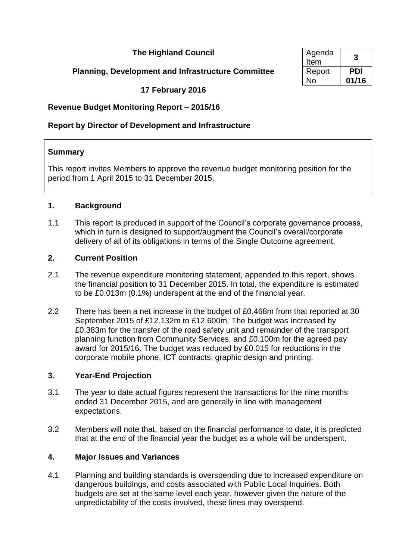# **The Highland Council**

# **Planning, Development and Infrastructure Committee**

**17 February 2016**

# **Revenue Budget Monitoring Report – 2015/16**

# **Report by Director of Development and Infrastructure**

### **Summary**

This report invites Members to approve the revenue budget monitoring position for the period from 1 April 2015 to 31 December 2015.

### **1. Background**

1.1 This report is produced in support of the Council's corporate governance process, which in turn is designed to support/augment the Council's overall/corporate delivery of all of its obligations in terms of the Single Outcome agreement.

### **2. Current Position**

- 2.1 The revenue expenditure monitoring statement, appended to this report, shows the financial position to 31 December 2015. In total, the expenditure is estimated to be £0.013m (0.1%) underspent at the end of the financial year.
- 2.2 There has been a net increase in the budget of £0.468m from that reported at 30 September 2015 of £12.132m to £12.600m. The budget was increased by £0.383m for the transfer of the road safety unit and remainder of the transport planning function from Community Services, and £0.100m for the agreed pay award for 2015/16. The budget was reduced by £0.015 for reductions in the corporate mobile phone, ICT contracts, graphic design and printing.

## **3. Year-End Projection**

- 3.1 The year to date actual figures represent the transactions for the nine months ended 31 December 2015, and are generally in line with management expectations.
- 3.2 Members will note that, based on the financial performance to date, it is predicted that at the end of the financial year the budget as a whole will be underspent.

## **4. Major Issues and Variances**

4.1 Planning and building standards is overspending due to increased expenditure on dangerous buildings, and costs associated with Public Local Inquiries. Both budgets are set at the same level each year, however given the nature of the unpredictability of the costs involved, these lines may overspend.

| Agenda<br>Item | 3     |
|----------------|-------|
| Report         | PDI   |
| Nο             | 01/16 |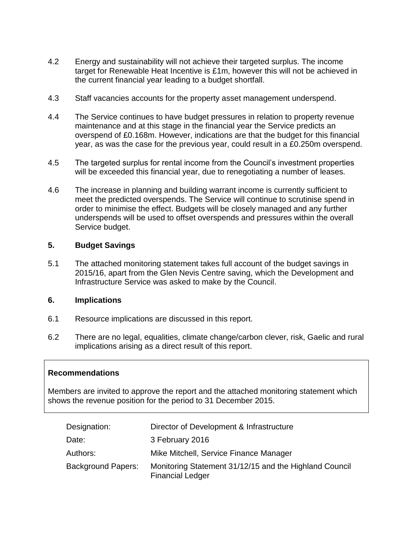- 4.2 Energy and sustainability will not achieve their targeted surplus. The income target for Renewable Heat Incentive is £1m, however this will not be achieved in the current financial year leading to a budget shortfall.
- 4.3 Staff vacancies accounts for the property asset management underspend.
- 4.4 The Service continues to have budget pressures in relation to property revenue maintenance and at this stage in the financial year the Service predicts an overspend of £0.168m. However, indications are that the budget for this financial year, as was the case for the previous year, could result in a £0.250m overspend.
- 4.5 The targeted surplus for rental income from the Council's investment properties will be exceeded this financial year, due to renegotiating a number of leases.
- 4.6 The increase in planning and building warrant income is currently sufficient to meet the predicted overspends. The Service will continue to scrutinise spend in order to minimise the effect. Budgets will be closely managed and any further underspends will be used to offset overspends and pressures within the overall Service budget.

#### **5. Budget Savings**

5.1 The attached monitoring statement takes full account of the budget savings in 2015/16, apart from the Glen Nevis Centre saving, which the Development and Infrastructure Service was asked to make by the Council.

#### **6. Implications**

- 6.1 Resource implications are discussed in this report.
- 6.2 There are no legal, equalities, climate change/carbon clever, risk, Gaelic and rural implications arising as a direct result of this report.

#### **Recommendations**

Members are invited to approve the report and the attached monitoring statement which shows the revenue position for the period to 31 December 2015.

| Designation:              | Director of Development & Infrastructure                                          |
|---------------------------|-----------------------------------------------------------------------------------|
| Date:                     | 3 February 2016                                                                   |
| Authors:                  | Mike Mitchell, Service Finance Manager                                            |
| <b>Background Papers:</b> | Monitoring Statement 31/12/15 and the Highland Council<br><b>Financial Ledger</b> |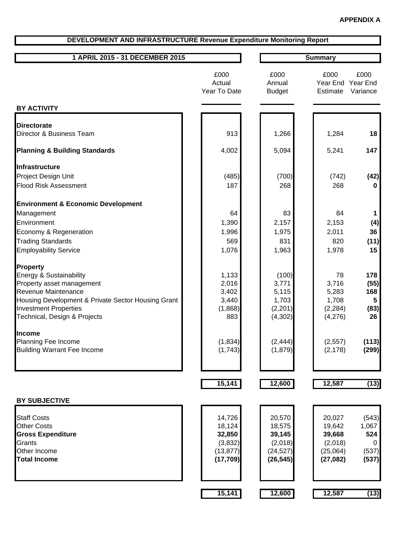### **DEVELOPMENT AND INFRASTRUCTURE Revenue Expenditure Monitoring Report**

| 1 APRIL 2015 - 31 DECEMBER 2015 |  | Summarv |
|---------------------------------|--|---------|
|---------------------------------|--|---------|

|                                                                                                                                                                                                                      | £000<br>Actual<br>Year To Date                                  | £000<br>Annual<br><b>Budget</b>                                 | £000<br>Year End<br>Estimate                                   | £000<br>Year End<br>Variance                 |
|----------------------------------------------------------------------------------------------------------------------------------------------------------------------------------------------------------------------|-----------------------------------------------------------------|-----------------------------------------------------------------|----------------------------------------------------------------|----------------------------------------------|
| <b>BY ACTIVITY</b>                                                                                                                                                                                                   |                                                                 |                                                                 |                                                                |                                              |
| <b>Directorate</b><br>Director & Business Team                                                                                                                                                                       | 913                                                             | 1,266                                                           | 1,284                                                          | 18                                           |
| <b>Planning &amp; Building Standards</b>                                                                                                                                                                             | 4,002                                                           | 5,094                                                           | 5,241                                                          | 147                                          |
| Infrastructure                                                                                                                                                                                                       |                                                                 |                                                                 |                                                                |                                              |
| Project Design Unit<br><b>Flood Risk Assessment</b>                                                                                                                                                                  | (485)<br>187                                                    | (700)<br>268                                                    | (742)<br>268                                                   | (42)<br>0                                    |
| <b>Environment &amp; Economic Development</b>                                                                                                                                                                        |                                                                 |                                                                 |                                                                |                                              |
| Management<br>Environment<br>Economy & Regeneration<br><b>Trading Standards</b><br><b>Employability Service</b>                                                                                                      | 64<br>1,390<br>1,996<br>569<br>1,076                            | 83<br>2,157<br>1,975<br>831<br>1,963                            | 84<br>2,153<br>2,011<br>820<br>1,978                           | 1<br>(4)<br>36<br>(11)<br>15                 |
| <b>Property</b><br>Energy & Sustainability<br>Property asset management<br>Revenue Maintenance<br>Housing Development & Private Sector Housing Grant<br><b>Investment Properties</b><br>Technical, Design & Projects | 1,133<br>2,016<br>3,402<br>3,440<br>(1,868)<br>883              | (100)<br>3,771<br>5,115<br>1,703<br>(2,201)<br>(4, 302)         | 78<br>3,716<br>5,283<br>1,708<br>(2, 284)<br>(4,276)           | 178<br>(55)<br>168<br>5<br>(83)<br>26        |
| <b>Income</b><br>Planning Fee Income<br><b>Building Warrant Fee Income</b>                                                                                                                                           | (1, 834)<br>(1,743)                                             | (2, 444)<br>(1,879)                                             | (2, 557)<br>(2, 178)                                           | (113)<br>(299)                               |
|                                                                                                                                                                                                                      | 15,141                                                          | 12,600                                                          | 12,587                                                         | (13)                                         |
| <b>BY SUBJECTIVE</b>                                                                                                                                                                                                 |                                                                 |                                                                 |                                                                |                                              |
| <b>Staff Costs</b><br><b>Other Costs</b><br><b>Gross Expenditure</b><br>Grants<br>Other Income<br><b>Total Income</b>                                                                                                | 14,726<br>18,124<br>32,850<br>(3,832)<br>(13, 877)<br>(17, 709) | 20,570<br>18,575<br>39,145<br>(2,018)<br>(24, 527)<br>(26, 545) | 20,027<br>19,642<br>39,668<br>(2,018)<br>(25,064)<br>(27, 082) | (543)<br>1,067<br>524<br>0<br>(537)<br>(537) |
|                                                                                                                                                                                                                      | 15,141                                                          | 12,600                                                          | 12,587                                                         | (13)                                         |